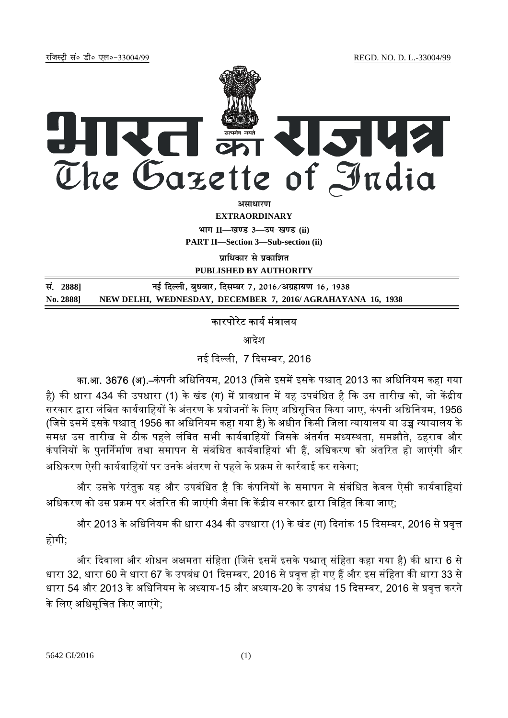jftLVªh laö Mhö ,yö&33004@99 REGD. NO. D. L.-33004/99



**EXTRAORDINARY**

**Hkkx II—[k.M 3—mi&[k.M (ii)**

**PART II—Section 3—Sub-section (ii)** 

**पाधिकार से प्रकाशित PUBLISHED BY AUTHORITY**

<u>Ri. 2888]</u> 2888] बाक नई दिल्ली. बधवार. दिसम्बर 7. 2016/अग्रहायण 16. 1938 **No. 2888] NEW DELHI, WEDNESDAY, DECEMBER 7, 2016/ AGRAHAYANA 16, 1938**

## कारपोरेट कार्य मंत्रालय

आदेश

नई दिल्ली, 7 दिसम्बर, 2016

का.आ. 3676 (अ).–कंपनी अधिनियम, 2013 (जिसे इसमें इसके पश्चात् 2013 का अधिनियम कहा गया है) की धारा 434 की उपधारा (1) के खंड (ग) में प्रावधान में यह उपबंधित है कि उस तारीख को, जो केंद्रीय सरकार द्वारा लंबित कार्यवाहियों के अंतरण के प्रयोजनों के लिए अधिसूचित किया जाए, कंपनी अधिनियम, 1956 (जिसे इसमें इसके पश्चात् 1956 का अधिनियम कहा गया है) के अधीन किसी जिला न्यायालय या उच्च न्यायालय के समक्ष उस तारीख से ठीक पहले लंबित सभी कार्यवाहियों जिसके अंतर्गत मध्यस्थता, समझौते, ठहराव और कंपनियों के पनर्निर्माण तथा समापन से संबंधित कार्यवाहियां भी हैं. अधिकरण को अंतरित हो जाएंगी और अधिकरण ऐसी कार्यवाहियों पर उनके अंतरण से पहले के प्रक्रम से कार्रवाई कर सकेगा:

और उसके परंतुक यह और उपबंधित है कि कंपनियों के समापन से संबंधित केवल ऐसी कार्यवाहियां अधिकरण को उस प्रक्रम पर अंतरित की जाएंगी जैसा कि केंद्रीय सरकार द्वारा विहित किया जाए;

और 2013 के अधिनियम की धारा 434 की उपधारा (1) के खंड (ग) दिनांक 15 दिसम्बर, 2016 से प्रवृत्त होगी;

और दिवाला और शोधन अक्षमता संहिता (जिसे इसमें इसके पश्चात् संहिता कहा गया है) की धारा 6 से धारा 32, धारा 60 से धारा 67 के उपबंध 01 दिसम्बर, 2016 से प्रवृत्त हो गए हैं और इस संहिता की धारा 33 से धारा 54 और 2013 के अधिनियम के अध्याय-15 और अध्याय-20 के उपबंध 15 दिसम्बर, 2016 से प्रवृत्त करने के लिए अधिसूचित किए जाएंगे;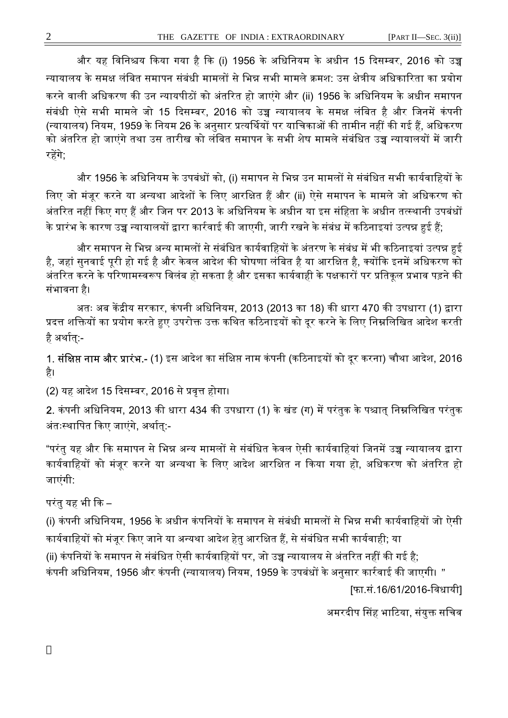और यह विनिश्चय किया गया है कि (i) 1956 के अधिनियम के अधीन 15 दिसम्बर, 2016 को उच्च न्यायालय के समक्ष लंबित समापन संबंधी मामलों से भिन्न सभी मामले क्रमश: उस क्षेत्रीय अधिकारिता का प्रयोग करने वाली अधिकरण की उन न्यायपीठों को अंतरित हो जाएंगे और (ii) 1956 के अधिनियम के अधीन समापन संबंधी ऐसे सभी मामले जो 15 दिसम्बर, 2016 को उच्च न्यायालय के समक्ष लंबित है और जिनमें कंपनी (न्यायालय) नियम, 1959 के नियम 26 के अनुसार प्रत्यर्थियों पर याचिकाओं की तामीन नहीं की गई हैं, अधिकरण को अंतरित हो जाएंगे तथा उस तारीख को लंबित समापन के सभी शेष मामले संबंधित उच्च न्यायालयों में जारी रहेंगे:

और 1956 के अधिनियम के उपबंधों को, (i) समापन से भिन्न उन मामलों से संबंधित सभी कार्यवाहियों के लिए जो मंजूर करने या अन्यथा आदेशों के लिए आरक्षित हैं और (ii) ऐसे समापन के मामले जो अधिकरण को अंतरित नहीं किए गए हैं और जिन पर 2013 के अधिनियम के अधीन या इस संहिता के अधीन तत्स्थानी उपबंधों के प्रारंभ के कारण उच्च न्यायालयों द्वारा कार्रवाई की जाएगी, जारी रखने के संबंध में कठिनाइयां उत्पन्न हुई हैं;

और समापन से भिन्न अन्य मामलों से संबंधित कार्यवाहियों के अंतरण के संबंध में भी कठिनाइयां उत्पन्न हई है, जहां सुनवाई पूरी हो गई है और केवल आदेश की घोषणा लंबित है या आरक्षित है, क्योंकि इनमें अधिकरण को अंतरित करने के परिणामस्वरूप विलंब हो सकता है और इसका कार्यवाही के पक्षकारों पर प्रतिकुल प्रभाव पड़ने की संभावना है।

अतः अब केंद्रीय सरकार, कंपनी अधिनियम, 2013 (2013 का 18) की धारा 470 की उपधारा (1) द्वारा प्रदत्त शक्तियों का प्रयोग करते हुए उपरोक्त उक्त कथित कठिनाइयों को दूर करने के लिए निम्नलिखित आदेश करती है अर्थात:-

1. **संक्षिप्त नाम और प्रारंभ.-** (1) इस आदेश का संक्षिप्त नाम कंपनी (कठिनाइयों को दूर करना) चौथा आदेश, 2016 है।

(2) यह आदेश 15 दिसम्बर, 2016 से प्रवृत्त होगा।

2. कंपनी अधिनियम, 2013 की धारा 434 की उपधारा (1) के खंड (ग) में परंतुक के पश्चात् निम्नलिखित परंतुक अंतःस्थापित किए जाएंगे, अर्थात्:-

"परंतु यह और कि समापन से भिन्न अन्य मामलों से संबंधित केवल ऐसी कार्यवाहियां जिनमें उच्च न्यायालय द्वारा कार्यवाहियों को मंजुर करने या अन्यथा के लिए आदेश आरक्षित न किया गया हो, अधिकरण को अंतरित हो जाएंगी:

परंतु यह भी ᳰक –

(i) कंपनी अधिनियम, 1956 के अधीन कंपनियों के समापन से संबंधी मामलों से भिन्न सभी कार्यवाहियों जो ऐसी कार्यवाहियों को मंजूर किए जाने या अन्यथा आदेश हेतु आरक्षित हैं, से संबंधित सभी कार्यवाही; या

(ii) कंपनियों के समापन से संबंधित ऐसी कार्यवाहियों पर, जो उच्च न्यायालय से अंतरित नहीं की गई है:

कंपनी अधिनियम, 1956 और कंपनी (न्यायालय) नियम, 1959 के उपबंधों के अनुसार कार्रवाई की जाएगी। "

[फा.सं.16/61/2016-िवधायी]

अमरदीप सिंह भाटिया, संयुक्त सचिव